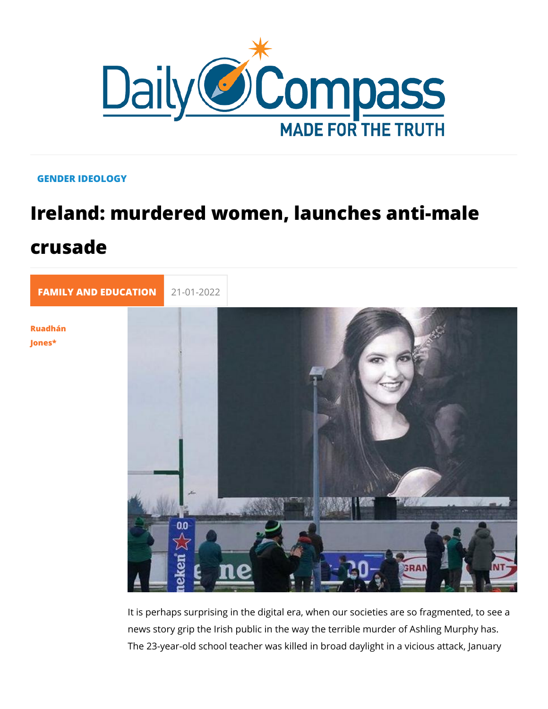## GENDER IDEOLOGY

## Ireland: murdered women, launches an crusade

[FAMILY AND EDUC](https://newdailycompass.com/en/family-and-education) 21-01-2022

[Ruadhá](/en/ruadhan-jones)n [Jone](/en/ruadhan-jones)s\*

> It is perhaps surprising in the digital era, when our societies news story grip the Irish public in the way the terrible murder The 23-year-old school teacher was killed in broad daylight in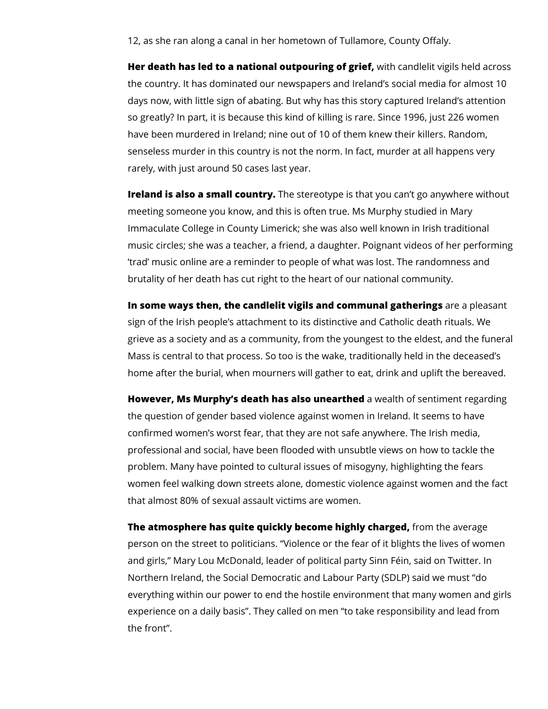12, as she ran along a canal in her hometown of Tullamore, County Offaly.

**Her death has led to a national outpouring of grief,** with candlelit vigils held across the country. It has dominated our newspapers and Ireland's social media for almost 10 days now, with little sign of abating. But why has this story captured Ireland's attention so greatly? In part, it is because this kind of killing is rare. Since 1996, just 226 women have been murdered in Ireland; nine out of 10 of them knew their killers. Random, senseless murder in this country is not the norm. In fact, murder at all happens very rarely, with just around 50 cases last year.

**Ireland is also a small country.** The stereotype is that you can't go anywhere without meeting someone you know, and this is often true. Ms Murphy studied in Mary Immaculate College in County Limerick; she was also well known in Irish traditional music circles; she was a teacher, a friend, a daughter. Poignant videos of her performing 'trad' music online are a reminder to people of what was lost. The randomness and brutality of her death has cut right to the heart of our national community.

**In some ways then, the candlelit vigils and communal gatherings** are a pleasant sign of the Irish people's attachment to its distinctive and Catholic death rituals. We grieve as a society and as a community, from the youngest to the eldest, and the funeral Mass is central to that process. So too is the wake, traditionally held in the deceased's home after the burial, when mourners will gather to eat, drink and uplift the bereaved.

**However, Ms Murphy's death has also unearthed** a wealth of sentiment regarding the question of gender based violence against women in Ireland. It seems to have confirmed women's worst fear, that they are not safe anywhere. The Irish media, professional and social, have been flooded with unsubtle views on how to tackle the problem. Many have pointed to cultural issues of misogyny, highlighting the fears women feel walking down streets alone, domestic violence against women and the fact that almost 80% of sexual assault victims are women.

**The atmosphere has quite quickly become highly charged,** from the average person on the street to politicians. "Violence or the fear of it blights the lives of women and girls," Mary Lou McDonald, leader of political party Sinn Féin, said on Twitter. In Northern Ireland, the Social Democratic and Labour Party (SDLP) said we must "do everything within our power to end the hostile environment that many women and girls experience on a daily basis". They called on men "to take responsibility and lead from the front".